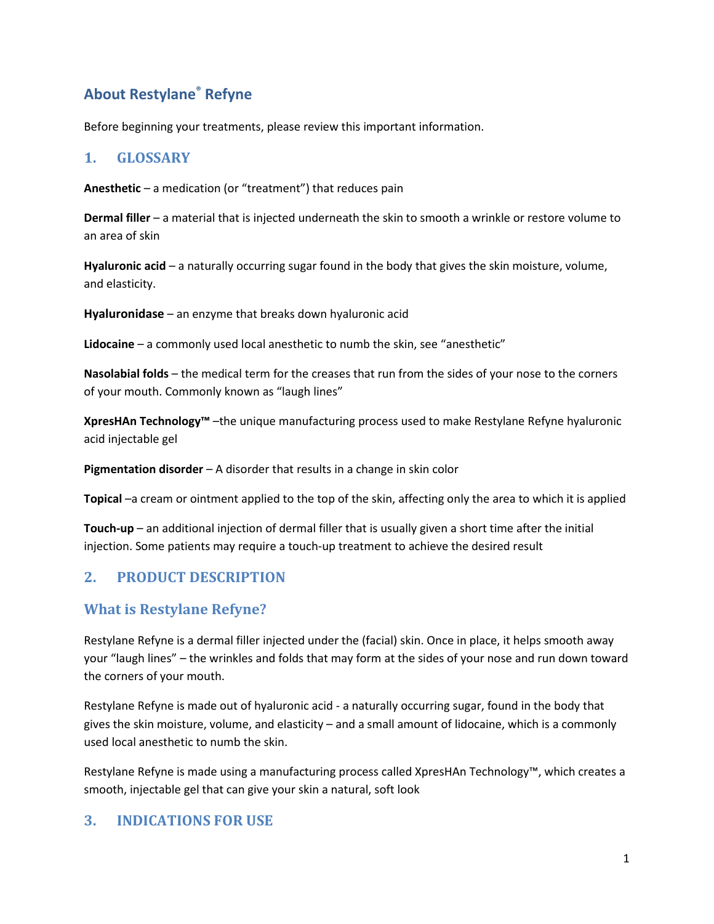# **About Restylane® Refyne**

Before beginning your treatments, please review this important information.

#### **1. GLOSSARY**

**Anesthetic** – a medication (or "treatment") that reduces pain

**Dermal filler** – a material that is injected underneath the skin to smooth a wrinkle or restore volume to an area of skin

**Hyaluronic acid** – a naturally occurring sugar found in the body that gives the skin moisture, volume, and elasticity.

**Hyaluronidase** – an enzyme that breaks down hyaluronic acid

**Lidocaine** – a commonly used local anesthetic to numb the skin, see "anesthetic"

**Nasolabial folds** – the medical term for the creases that run from the sides of your nose to the corners of your mouth. Commonly known as "laugh lines"

**XpresHAn Technology™** –the unique manufacturing process used to make Restylane Refyne hyaluronic acid injectable gel

**Pigmentation disorder** – A disorder that results in a change in skin color

**Topical** –a cream or ointment applied to the top of the skin, affecting only the area to which it is applied

**Touch-up** – an additional injection of dermal filler that is usually given a short time after the initial injection. Some patients may require a touch-up treatment to achieve the desired result

## **2. PRODUCT DESCRIPTION**

#### **What is Restylane Refyne?**

Restylane Refyne is a dermal filler injected under the (facial) skin. Once in place, it helps smooth away your "laugh lines" – the wrinkles and folds that may form at the sides of your nose and run down toward the corners of your mouth.

Restylane Refyne is made out of hyaluronic acid - a naturally occurring sugar, found in the body that gives the skin moisture, volume, and elasticity – and a small amount of lidocaine, which is a commonly used local anesthetic to numb the skin.

Restylane Refyne is made using a manufacturing process called XpresHAn Technology™, which creates a smooth, injectable gel that can give your skin a natural, soft look

#### **3. INDICATIONS FOR USE**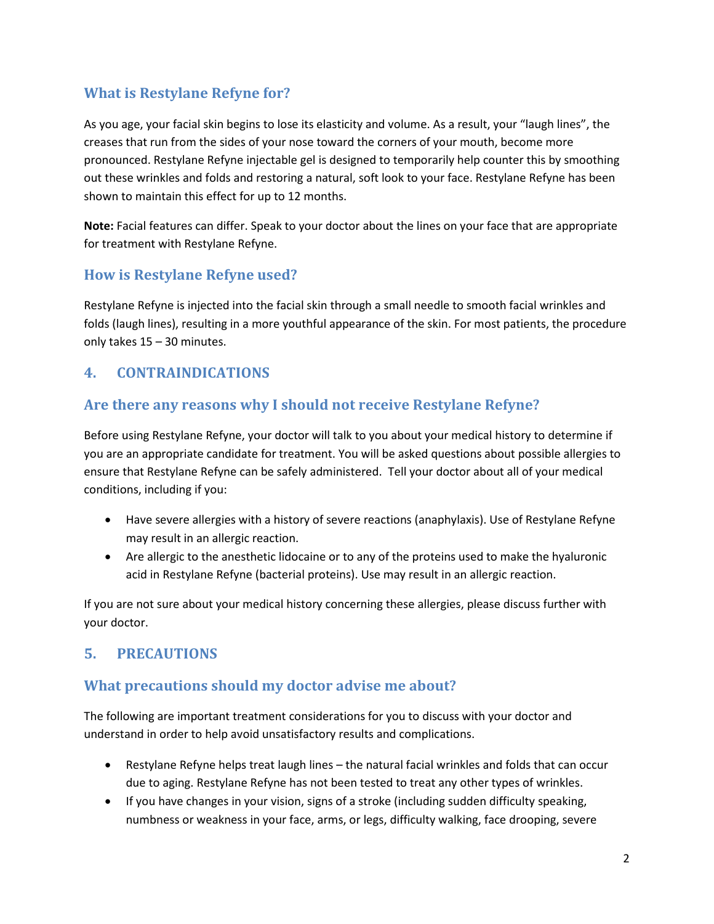## **What is Restylane Refyne for?**

As you age, your facial skin begins to lose its elasticity and volume. As a result, your "laugh lines", the creases that run from the sides of your nose toward the corners of your mouth, become more pronounced. Restylane Refyne injectable gel is designed to temporarily help counter this by smoothing out these wrinkles and folds and restoring a natural, soft look to your face. Restylane Refyne has been shown to maintain this effect for up to 12 months.

**Note:** Facial features can differ. Speak to your doctor about the lines on your face that are appropriate for treatment with Restylane Refyne.

### **How is Restylane Refyne used?**

Restylane Refyne is injected into the facial skin through a small needle to smooth facial wrinkles and folds (laugh lines), resulting in a more youthful appearance of the skin. For most patients, the procedure only takes 15 – 30 minutes.

### **4. CONTRAINDICATIONS**

#### **Are there any reasons why I should not receive Restylane Refyne?**

Before using Restylane Refyne, your doctor will talk to you about your medical history to determine if you are an appropriate candidate for treatment. You will be asked questions about possible allergies to ensure that Restylane Refyne can be safely administered. Tell your doctor about all of your medical conditions, including if you:

- Have severe allergies with a history of severe reactions (anaphylaxis). Use of Restylane Refyne may result in an allergic reaction.
- Are allergic to the anesthetic lidocaine or to any of the proteins used to make the hyaluronic acid in Restylane Refyne (bacterial proteins). Use may result in an allergic reaction.

If you are not sure about your medical history concerning these allergies, please discuss further with your doctor.

## **5. PRECAUTIONS**

## **What precautions should my doctor advise me about?**

The following are important treatment considerations for you to discuss with your doctor and understand in order to help avoid unsatisfactory results and complications.

- Restylane Refyne helps treat laugh lines the natural facial wrinkles and folds that can occur due to aging. Restylane Refyne has not been tested to treat any other types of wrinkles.
- If you have changes in your vision, signs of a stroke (including sudden difficulty speaking, numbness or weakness in your face, arms, or legs, difficulty walking, face drooping, severe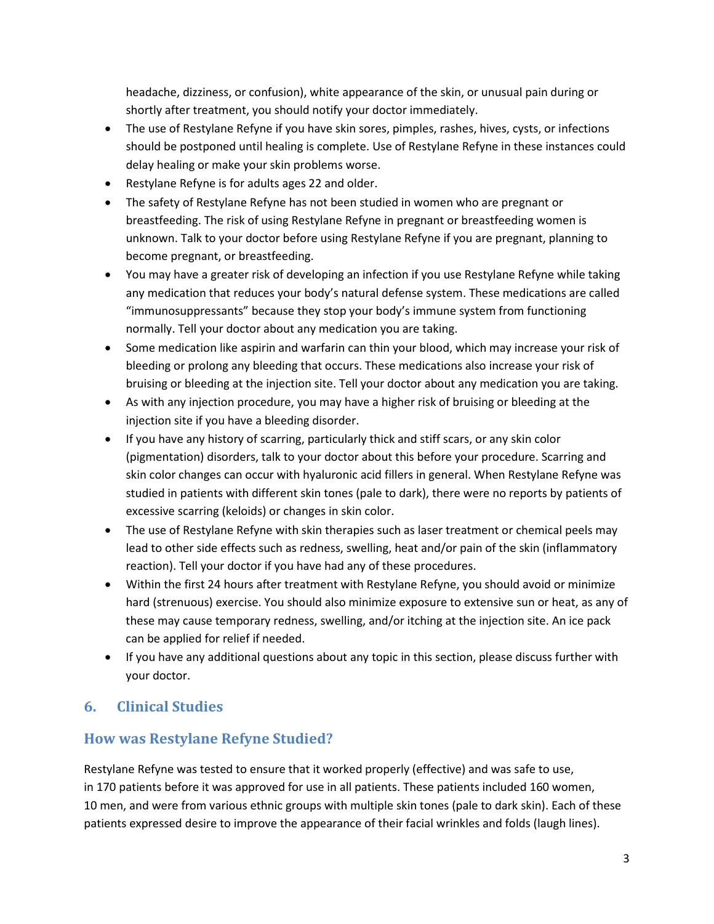headache, dizziness, or confusion), white appearance of the skin, or unusual pain during or shortly after treatment, you should notify your doctor immediately.

- The use of Restylane Refyne if you have skin sores, pimples, rashes, hives, cysts, or infections should be postponed until healing is complete. Use of Restylane Refyne in these instances could delay healing or make your skin problems worse.
- Restylane Refyne is for adults ages 22 and older.
- The safety of Restylane Refyne has not been studied in women who are pregnant or breastfeeding. The risk of using Restylane Refyne in pregnant or breastfeeding women is unknown. Talk to your doctor before using Restylane Refyne if you are pregnant, planning to become pregnant, or breastfeeding.
- You may have a greater risk of developing an infection if you use Restylane Refyne while taking any medication that reduces your body's natural defense system. These medications are called "immunosuppressants" because they stop your body's immune system from functioning normally. Tell your doctor about any medication you are taking.
- Some medication like aspirin and warfarin can thin your blood, which may increase your risk of bleeding or prolong any bleeding that occurs. These medications also increase your risk of bruising or bleeding at the injection site. Tell your doctor about any medication you are taking.
- As with any injection procedure, you may have a higher risk of bruising or bleeding at the injection site if you have a bleeding disorder.
- If you have any history of scarring, particularly thick and stiff scars, or any skin color (pigmentation) disorders, talk to your doctor about this before your procedure. Scarring and skin color changes can occur with hyaluronic acid fillers in general. When Restylane Refyne was studied in patients with different skin tones (pale to dark), there were no reports by patients of excessive scarring (keloids) or changes in skin color.
- The use of Restylane Refyne with skin therapies such as laser treatment or chemical peels may lead to other side effects such as redness, swelling, heat and/or pain of the skin (inflammatory reaction). Tell your doctor if you have had any of these procedures.
- Within the first 24 hours after treatment with Restylane Refyne, you should avoid or minimize hard (strenuous) exercise. You should also minimize exposure to extensive sun or heat, as any of these may cause temporary redness, swelling, and/or itching at the injection site. An ice pack can be applied for relief if needed.
- If you have any additional questions about any topic in this section, please discuss further with your doctor.

# **6. Clinical Studies**

# **How was Restylane Refyne Studied?**

Restylane Refyne was tested to ensure that it worked properly (effective) and was safe to use, in 170 patients before it was approved for use in all patients. These patients included 160 women, 10 men, and were from various ethnic groups with multiple skin tones (pale to dark skin). Each of these patients expressed desire to improve the appearance of their facial wrinkles and folds (laugh lines).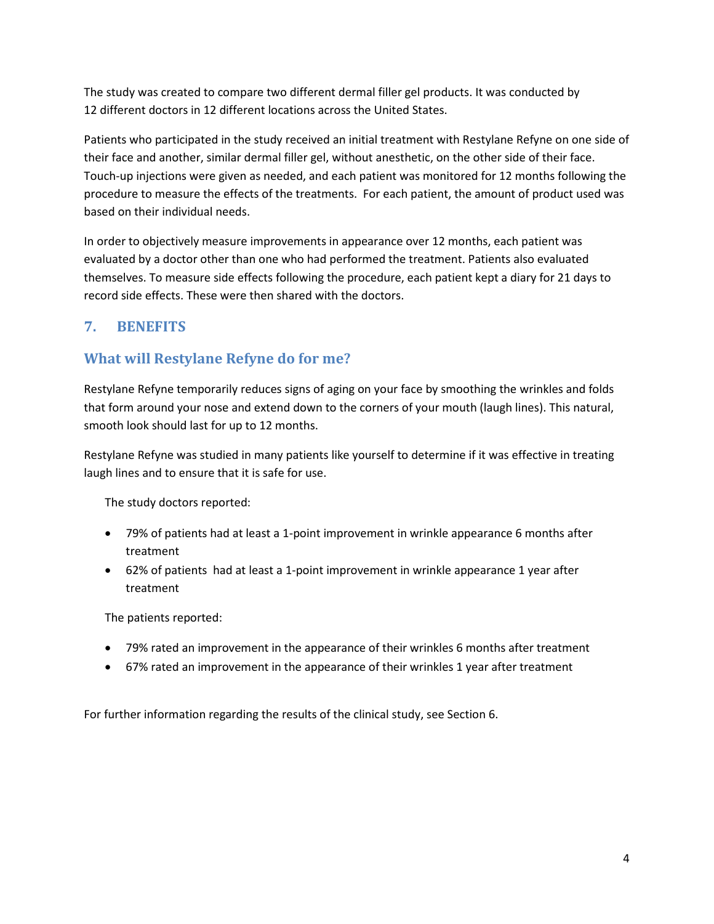The study was created to compare two different dermal filler gel products. It was conducted by 12 different doctors in 12 different locations across the United States.

Patients who participated in the study received an initial treatment with Restylane Refyne on one side of their face and another, similar dermal filler gel, without anesthetic, on the other side of their face. Touch-up injections were given as needed, and each patient was monitored for 12 months following the procedure to measure the effects of the treatments. For each patient, the amount of product used was based on their individual needs.

In order to objectively measure improvements in appearance over 12 months, each patient was evaluated by a doctor other than one who had performed the treatment. Patients also evaluated themselves. To measure side effects following the procedure, each patient kept a diary for 21 days to record side effects. These were then shared with the doctors.

# **7. BENEFITS**

## **What will Restylane Refyne do for me?**

Restylane Refyne temporarily reduces signs of aging on your face by smoothing the wrinkles and folds that form around your nose and extend down to the corners of your mouth (laugh lines). This natural, smooth look should last for up to 12 months.

Restylane Refyne was studied in many patients like yourself to determine if it was effective in treating laugh lines and to ensure that it is safe for use.

The study doctors reported:

- 79% of patients had at least a 1-point improvement in wrinkle appearance 6 months after treatment
- 62% of patients had at least a 1-point improvement in wrinkle appearance 1 year after treatment

The patients reported:

- 79% rated an improvement in the appearance of their wrinkles 6 months after treatment
- 67% rated an improvement in the appearance of their wrinkles 1 year after treatment

For further information regarding the results of the clinical study, see Section 6.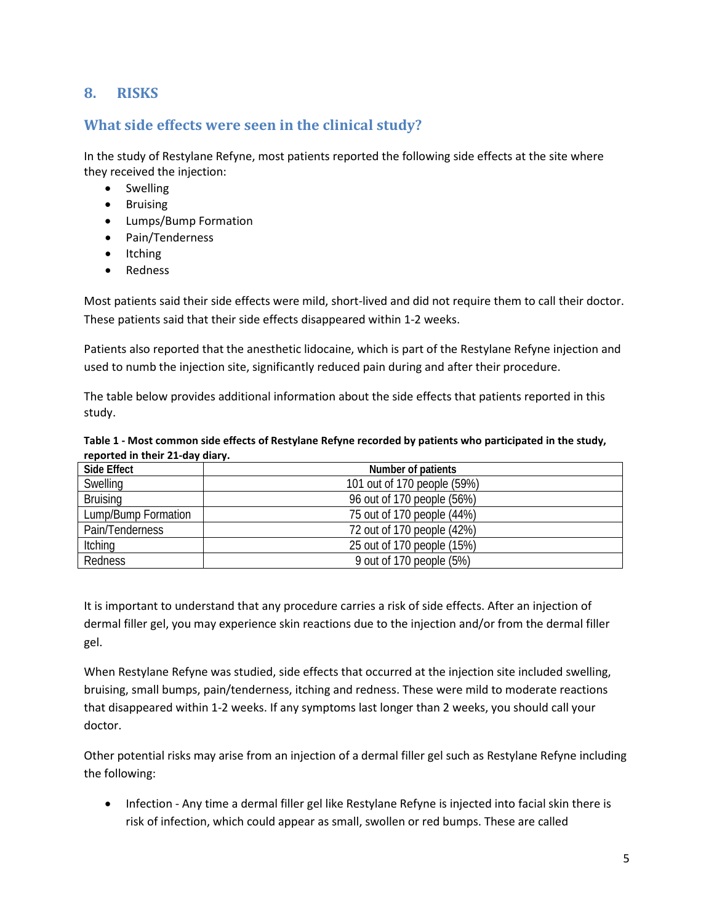## **8. RISKS**

#### **What side effects were seen in the clinical study?**

In the study of Restylane Refyne, most patients reported the following side effects at the site where they received the injection:

- Swelling
- Bruising
- Lumps/Bump Formation
- Pain/Tenderness
- Itching
- Redness

Most patients said their side effects were mild, short-lived and did not require them to call their doctor. These patients said that their side effects disappeared within 1-2 weeks.

Patients also reported that the anesthetic lidocaine, which is part of the Restylane Refyne injection and used to numb the injection site, significantly reduced pain during and after their procedure.

The table below provides additional information about the side effects that patients reported in this study.

#### **Table 1 - Most common side effects of Restylane Refyne recorded by patients who participated in the study, reported in their 21-day diary.**

| Side Effect         | Number of patients          |
|---------------------|-----------------------------|
| Swelling            | 101 out of 170 people (59%) |
| <b>Bruising</b>     | 96 out of 170 people (56%)  |
| Lump/Bump Formation | 75 out of 170 people (44%)  |
| Pain/Tenderness     | 72 out of 170 people (42%)  |
| Itching             | 25 out of 170 people (15%)  |
| Redness             | 9 out of 170 people (5%)    |

It is important to understand that any procedure carries a risk of side effects. After an injection of dermal filler gel, you may experience skin reactions due to the injection and/or from the dermal filler gel.

When Restylane Refyne was studied, side effects that occurred at the injection site included swelling, bruising, small bumps, pain/tenderness, itching and redness. These were mild to moderate reactions that disappeared within 1-2 weeks. If any symptoms last longer than 2 weeks, you should call your doctor.

Other potential risks may arise from an injection of a dermal filler gel such as Restylane Refyne including the following:

• Infection - Any time a dermal filler gel like Restylane Refyne is injected into facial skin there is risk of infection, which could appear as small, swollen or red bumps. These are called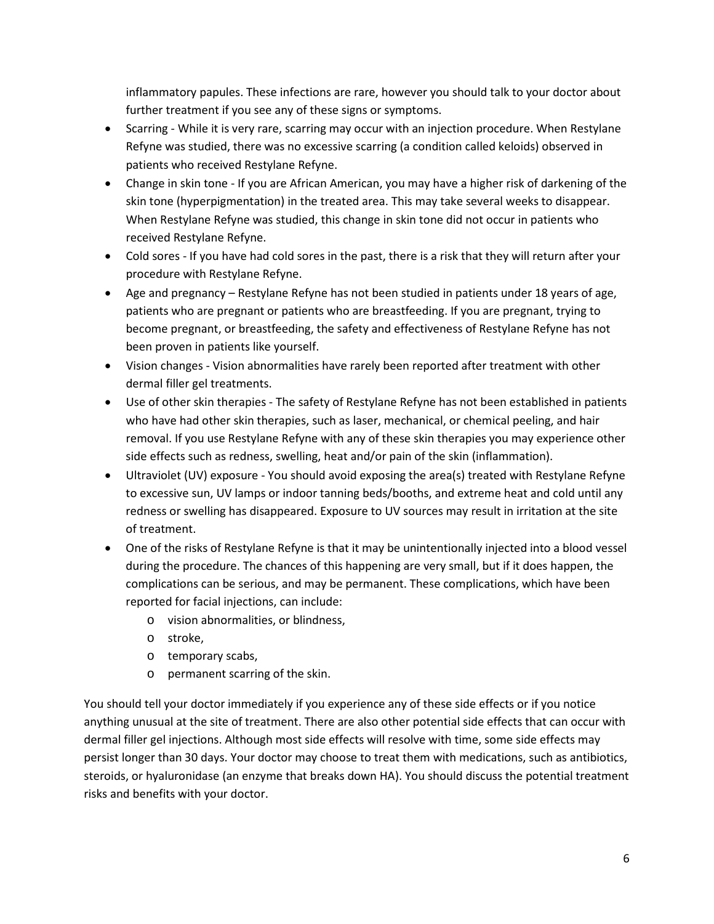inflammatory papules. These infections are rare, however you should talk to your doctor about further treatment if you see any of these signs or symptoms.

- Scarring While it is very rare, scarring may occur with an injection procedure. When Restylane Refyne was studied, there was no excessive scarring (a condition called keloids) observed in patients who received Restylane Refyne.
- Change in skin tone If you are African American, you may have a higher risk of darkening of the skin tone (hyperpigmentation) in the treated area. This may take several weeks to disappear. When Restylane Refyne was studied, this change in skin tone did not occur in patients who received Restylane Refyne.
- Cold sores If you have had cold sores in the past, there is a risk that they will return after your procedure with Restylane Refyne.
- Age and pregnancy Restylane Refyne has not been studied in patients under 18 years of age, patients who are pregnant or patients who are breastfeeding. If you are pregnant, trying to become pregnant, or breastfeeding, the safety and effectiveness of Restylane Refyne has not been proven in patients like yourself.
- Vision changes Vision abnormalities have rarely been reported after treatment with other dermal filler gel treatments.
- Use of other skin therapies The safety of Restylane Refyne has not been established in patients who have had other skin therapies, such as laser, mechanical, or chemical peeling, and hair removal. If you use Restylane Refyne with any of these skin therapies you may experience other side effects such as redness, swelling, heat and/or pain of the skin (inflammation).
- Ultraviolet (UV) exposure You should avoid exposing the area(s) treated with Restylane Refyne to excessive sun, UV lamps or indoor tanning beds/booths, and extreme heat and cold until any redness or swelling has disappeared. Exposure to UV sources may result in irritation at the site of treatment.
- One of the risks of Restylane Refyne is that it may be unintentionally injected into a blood vessel during the procedure. The chances of this happening are very small, but if it does happen, the complications can be serious, and may be permanent. These complications, which have been reported for facial injections, can include:
	- o vision abnormalities, or blindness,
	- o stroke,
	- o temporary scabs,
	- o permanent scarring of the skin.

You should tell your doctor immediately if you experience any of these side effects or if you notice anything unusual at the site of treatment. There are also other potential side effects that can occur with dermal filler gel injections. Although most side effects will resolve with time, some side effects may persist longer than 30 days. Your doctor may choose to treat them with medications, such as antibiotics, steroids, or hyaluronidase (an enzyme that breaks down HA). You should discuss the potential treatment risks and benefits with your doctor.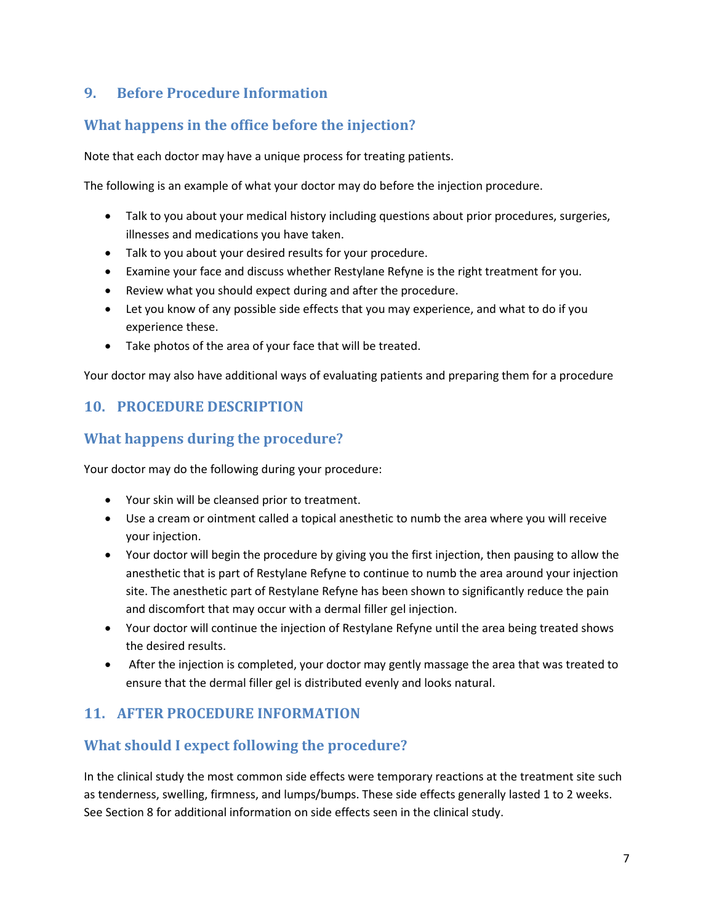## **9. Before Procedure Information**

# **What happens in the office before the injection?**

Note that each doctor may have a unique process for treating patients.

The following is an example of what your doctor may do before the injection procedure.

- Talk to you about your medical history including questions about prior procedures, surgeries, illnesses and medications you have taken.
- Talk to you about your desired results for your procedure.
- Examine your face and discuss whether Restylane Refyne is the right treatment for you.
- Review what you should expect during and after the procedure.
- Let you know of any possible side effects that you may experience, and what to do if you experience these.
- Take photos of the area of your face that will be treated.

Your doctor may also have additional ways of evaluating patients and preparing them for a procedure

### **10. PROCEDURE DESCRIPTION**

### **What happens during the procedure?**

Your doctor may do the following during your procedure:

- Your skin will be cleansed prior to treatment.
- Use a cream or ointment called a topical anesthetic to numb the area where you will receive your injection.
- Your doctor will begin the procedure by giving you the first injection, then pausing to allow the anesthetic that is part of Restylane Refyne to continue to numb the area around your injection site. The anesthetic part of Restylane Refyne has been shown to significantly reduce the pain and discomfort that may occur with a dermal filler gel injection.
- Your doctor will continue the injection of Restylane Refyne until the area being treated shows the desired results.
- After the injection is completed, your doctor may gently massage the area that was treated to ensure that the dermal filler gel is distributed evenly and looks natural.

#### **11. AFTER PROCEDURE INFORMATION**

## **What should I expect following the procedure?**

In the clinical study the most common side effects were temporary reactions at the treatment site such as tenderness, swelling, firmness, and lumps/bumps. These side effects generally lasted 1 to 2 weeks. See Section 8 for additional information on side effects seen in the clinical study.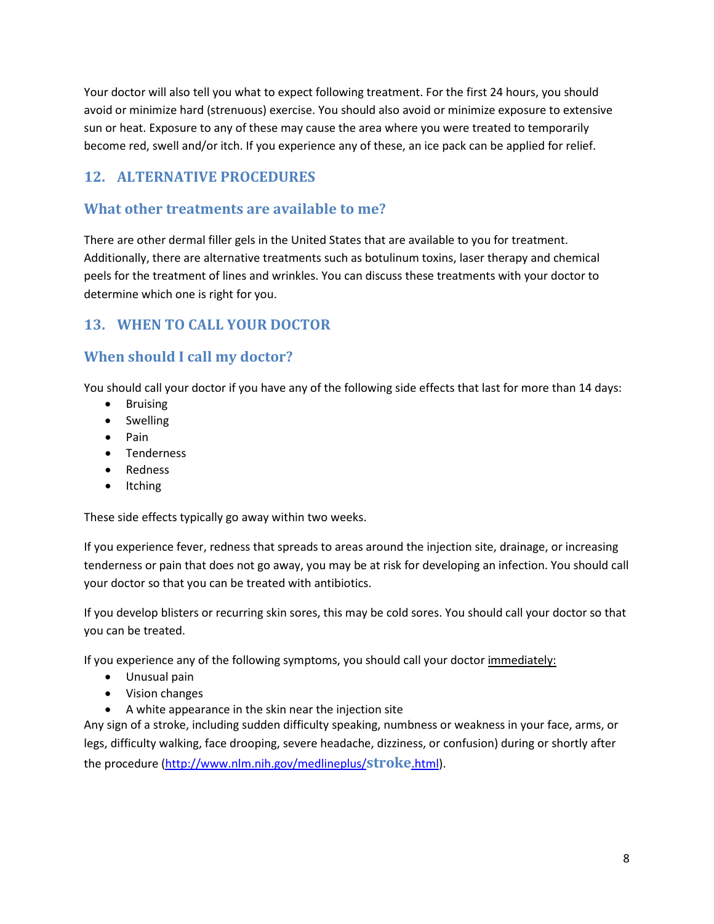Your doctor will also tell you what to expect following treatment. For the first 24 hours, you should avoid or minimize hard (strenuous) exercise. You should also avoid or minimize exposure to extensive sun or heat. Exposure to any of these may cause the area where you were treated to temporarily become red, swell and/or itch. If you experience any of these, an ice pack can be applied for relief.

## **12. ALTERNATIVE PROCEDURES**

#### **What other treatments are available to me?**

There are other dermal filler gels in the United States that are available to you for treatment. Additionally, there are alternative treatments such as botulinum toxins, laser therapy and chemical peels for the treatment of lines and wrinkles. You can discuss these treatments with your doctor to determine which one is right for you.

## **13. WHEN TO CALL YOUR DOCTOR**

# **When should I call my doctor?**

You should call your doctor if you have any of the following side effects that last for more than 14 days:

- **Bruising**
- Swelling
- Pain
- Tenderness
- Redness
- Itching

These side effects typically go away within two weeks.

If you experience fever, redness that spreads to areas around the injection site, drainage, or increasing tenderness or pain that does not go away, you may be at risk for developing an infection. You should call your doctor so that you can be treated with antibiotics.

If you develop blisters or recurring skin sores, this may be cold sores. You should call your doctor so that you can be treated.

If you experience any of the following symptoms, you should call your doctor immediately:

- Unusual pain
- Vision changes
- A white appearance in the skin near the injection site

Any sign of a stroke, including sudden difficulty speaking, numbness or weakness in your face, arms, or legs, difficulty walking, face drooping, severe headache, dizziness, or confusion) during or shortly after the procedure (http://www.nlm.nih.gov/medlineplus/**stroke**.html).